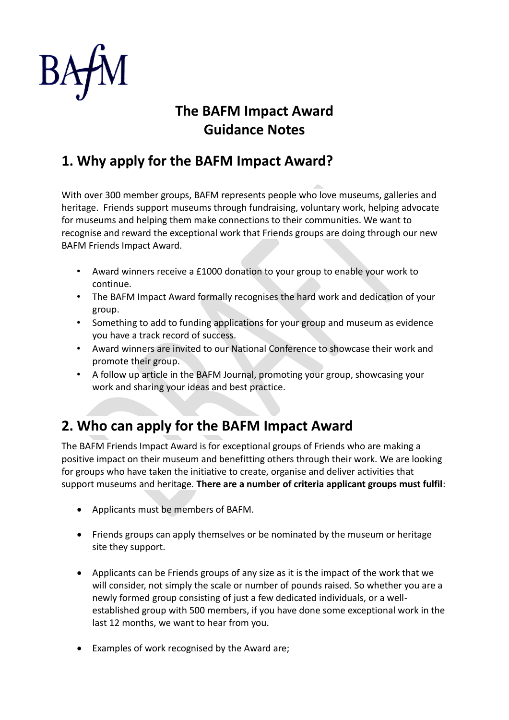

# **The BAFM Impact Award Guidance Notes**

### **1. Why apply for the BAFM Impact Award?**

With over 300 member groups, BAFM represents people who love museums, galleries and heritage. Friends support museums through fundraising, voluntary work, helping advocate for museums and helping them make connections to their communities. We want to recognise and reward the exceptional work that Friends groups are doing through our new BAFM Friends Impact Award.

- Award winners receive a £1000 donation to your group to enable your work to continue.
- The BAFM Impact Award formally recognises the hard work and dedication of your group.
- Something to add to funding applications for your group and museum as evidence you have a track record of success.
- Award winners are invited to our National Conference to showcase their work and promote their group.
- A follow up article in the BAFM Journal, promoting your group, showcasing your work and sharing your ideas and best practice.

## **2. Who can apply for the BAFM Impact Award**

The BAFM Friends Impact Award is for exceptional groups of Friends who are making a positive impact on their museum and benefitting others through their work. We are looking for groups who have taken the initiative to create, organise and deliver activities that support museums and heritage. **There are a number of criteria applicant groups must fulfil**:

- Applicants must be members of BAFM.
- Friends groups can apply themselves or be nominated by the museum or heritage site they support.
- Applicants can be Friends groups of any size as it is the impact of the work that we will consider, not simply the scale or number of pounds raised. So whether you are a newly formed group consisting of just a few dedicated individuals, or a wellestablished group with 500 members, if you have done some exceptional work in the last 12 months, we want to hear from you.
- Examples of work recognised by the Award are;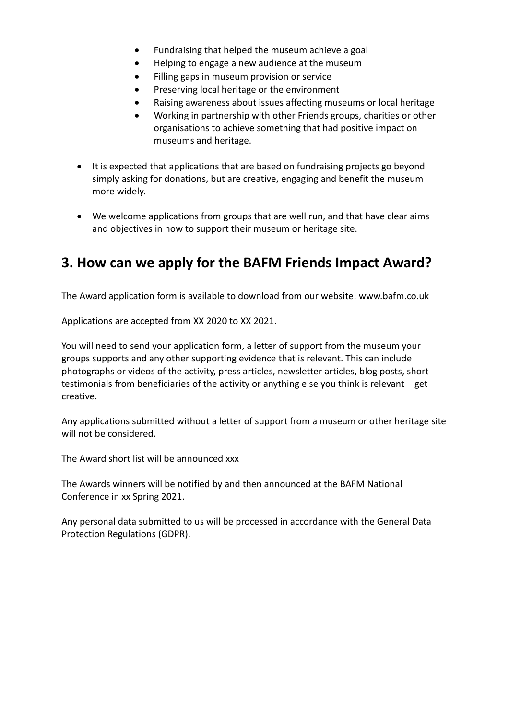- Fundraising that helped the museum achieve a goal
- Helping to engage a new audience at the museum
- Filling gaps in museum provision or service
- Preserving local heritage or the environment
- Raising awareness about issues affecting museums or local heritage
- Working in partnership with other Friends groups, charities or other organisations to achieve something that had positive impact on museums and heritage.
- It is expected that applications that are based on fundraising projects go beyond simply asking for donations, but are creative, engaging and benefit the museum more widely.
- We welcome applications from groups that are well run, and that have clear aims and objectives in how to support their museum or heritage site.

#### **3. How can we apply for the BAFM Friends Impact Award?**

The Award application form is available to download from our website: [www.bafm.co.uk](http://www.bafm.co.uk/)

Applications are accepted from XX 2020 to XX 2021.

You will need to send your application form, a letter of support from the museum your groups supports and any other supporting evidence that is relevant. This can include photographs or videos of the activity, press articles, newsletter articles, blog posts, short testimonials from beneficiaries of the activity or anything else you think is relevant – get creative.

Any applications submitted without a letter of support from a museum or other heritage site will not be considered.

The Award short list will be announced xxx

The Awards winners will be notified by and then announced at the BAFM National Conference in xx Spring 2021.

Any personal data submitted to us will be processed in accordance with the General Data Protection Regulations (GDPR).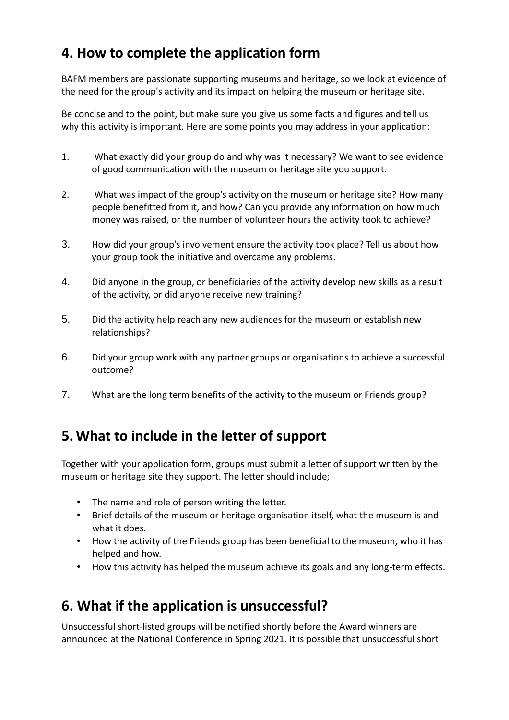## **4. How to complete the application form**

BAFM members are passionate supporting museums and heritage, so we look at evidence of the need for the group's activity and its impact on helping the museum or heritage site.

Be concise and to the point, but make sure you give us some facts and figures and tell us why this activity is important. Here are some points you may address in your application:

- 1. What exactly did your group do and why was it necessary? We want to see evidence of good communication with the museum or heritage site you support.
- 2. What was impact of the group's activity on the museum or heritage site? How many people benefitted from it, and how? Can you provide any information on how much money was raised, or the number of volunteer hours the activity took to achieve?
- 3. How did your group's involvement ensure the activity took place? Tell us about how your group took the initiative and overcame any problems.
- 4. Did anyone in the group, or beneficiaries of the activity develop new skills as a result of the activity, or did anyone receive new training?
- 5. Did the activity help reach any new audiences for the museum or establish new relationships?
- 6. Did your group work with any partner groups or organisations to achieve a successful outcome?
- 7. What are the long term benefits of the activity to the museum or Friends group?

### **5. What to include in the letter of support**

Together with your application form, groups must submit a letter of support written by the museum or heritage site they support. The letter should include;

- The name and role of person writing the letter.
- Brief details of the museum or heritage organisation itself, what the museum is and what it does.
- How the activity of the Friends group has been beneficial to the museum, who it has helped and how.
- How this activity has helped the museum achieve its goals and any long-term effects.

### **6. What if the application is unsuccessful?**

Unsuccessful short-listed groups will be notified shortly before the Award winners are announced at the National Conference in Spring 2021. It is possible that unsuccessful short